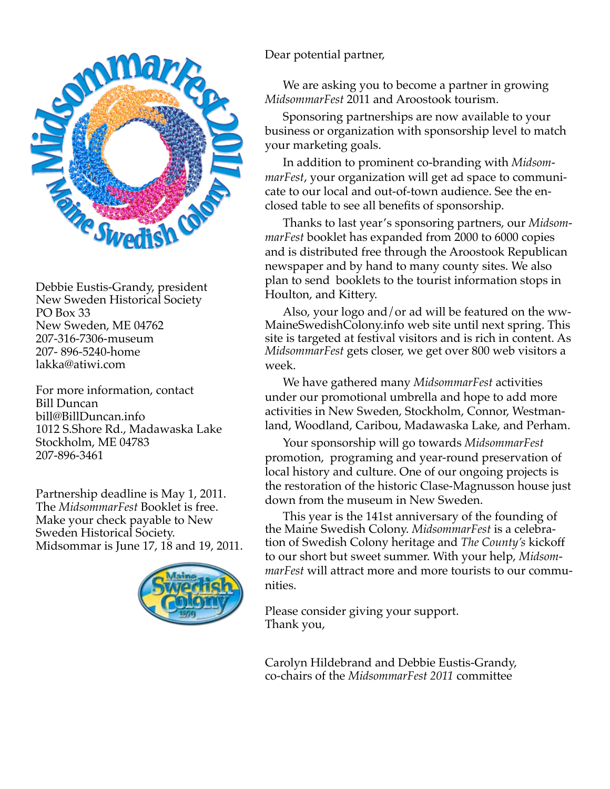

Debbie Eustis-Grandy, president New Sweden Historical Society PO Box 33 New Sweden, ME 04762 207-316-7306-museum 207- 896-5240-home lakka@atiwi.com

For more information, contact Bill Duncan bill@BillDuncan.info 1012 S.Shore Rd., Madawaska Lake Stockholm, ME 04783 207-896-3461

Partnership deadline is May 1, 2011. The *MidsommarFest* Booklet is free. Make your check payable to New Sweden Historical Society. Midsommar is June 17, 18 and 19, 2011.



Dear potential partner,

We are asking you to become a partner in growing *MidsommarFest* 2011 and Aroostook tourism.

Sponsoring partnerships are now available to your business or organization with sponsorship level to match your marketing goals.

In addition to prominent co-branding with *MidsommarFest*, your organization will get ad space to communicate to our local and out-of-town audience. See the enclosed table to see all benefits of sponsorship.

Thanks to last year's sponsoring partners, our *MidsommarFest* booklet has expanded from 2000 to 6000 copies and is distributed free through the Aroostook Republican newspaper and by hand to many county sites. We also plan to send booklets to the tourist information stops in Houlton, and Kittery.

Also, your logo and/or ad will be featured on the ww-MaineSwedishColony.info web site until next spring. This site is targeted at festival visitors and is rich in content. As *MidsommarFest* gets closer, we get over 800 web visitors a week.

We have gathered many *MidsommarFest* activities under our promotional umbrella and hope to add more activities in New Sweden, Stockholm, Connor, Westmanland, Woodland, Caribou, Madawaska Lake, and Perham.

Your sponsorship will go towards *MidsommarFest*  promotion, programing and year-round preservation of local history and culture. One of our ongoing projects is the restoration of the historic Clase-Magnusson house just down from the museum in New Sweden.

This year is the 141st anniversary of the founding of the Maine Swedish Colony. *MidsommarFest* is a celebration of Swedish Colony heritage and *The County's* kickoff to our short but sweet summer. With your help, *MidsommarFest* will attract more and more tourists to our communities.

Please consider giving your support. Thank you,

Carolyn Hildebrand and Debbie Eustis-Grandy, co-chairs of the *MidsommarFest 2011* committee